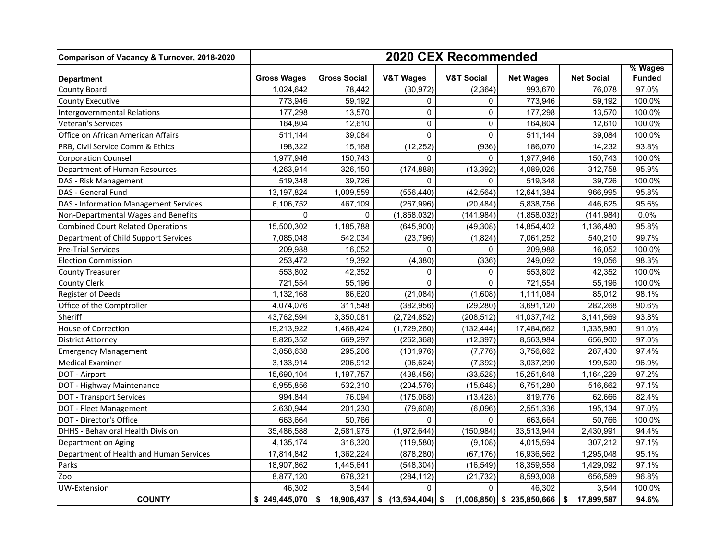| Comparison of Vacancy & Turnover, 2018-2020 | 2020 CEX Recommended |                     |                                   |                       |                              |                   |                          |
|---------------------------------------------|----------------------|---------------------|-----------------------------------|-----------------------|------------------------------|-------------------|--------------------------|
| <b>Department</b>                           | <b>Gross Wages</b>   | <b>Gross Social</b> | <b>V&amp;T Wages</b>              | <b>V&amp;T Social</b> | <b>Net Wages</b>             | <b>Net Social</b> | % Wages<br><b>Funded</b> |
| <b>County Board</b>                         | 1,024,642            | 78,442              | (30, 972)                         | (2, 364)              | 993,670                      | 76.078            | 97.0%                    |
| <b>County Executive</b>                     | 773,946              | 59,192              | $\Omega$                          | $\Omega$              | 773,946                      | 59,192            | 100.0%                   |
| <b>Intergovernmental Relations</b>          | 177,298              | 13,570              | $\Omega$                          | $\mathbf 0$           | 177,298                      | 13,570            | 100.0%                   |
| Veteran's Services                          | 164,804              | 12,610              | $\mathbf 0$                       | $\Omega$              | 164,804                      | 12,610            | 100.0%                   |
| Office on African American Affairs          | 511,144              | 39,084              | 0                                 | $\Omega$              | 511,144                      | 39,084            | 100.0%                   |
| PRB, Civil Service Comm & Ethics            | 198,322              | 15,168              | (12, 252)                         | (936)                 | 186,070                      | 14,232            | 93.8%                    |
| <b>Corporation Counsel</b>                  | 1,977,946            | 150,743             | $\Omega$                          | 0                     | 1,977,946                    | 150,743           | 100.0%                   |
| Department of Human Resources               | 4,263,914            | 326,150             | (174, 888)                        | (13, 392)             | 4,089,026                    | 312,758           | 95.9%                    |
| DAS - Risk Management                       | 519,348              | 39,726              | $\Omega$                          | $\Omega$              | 519,348                      | 39.726            | 100.0%                   |
| DAS - General Fund                          | 13,197,824           | 1,009,559           | (556, 440)                        | (42, 564)             | 12,641,384                   | 966,995           | 95.8%                    |
| DAS - Information Management Services       | 6,106,752            | 467,109             | (267, 996)                        | (20, 484)             | 5,838,756                    | 446,625           | 95.6%                    |
| Non-Departmental Wages and Benefits         | $\mathbf 0$          | 0                   | (1,858,032)                       | (141, 984)            | (1,858,032)                  | (141, 984)        | 0.0%                     |
| <b>Combined Court Related Operations</b>    | 15,500,302           | 1,185,788           | (645,900)                         | (49, 308)             | 14,854,402                   | 1,136,480         | 95.8%                    |
| Department of Child Support Services        | 7,085,048            | 542,034             | (23, 796)                         | (1,824)               | 7,061,252                    | 540,210           | 99.7%                    |
| <b>Pre-Trial Services</b>                   | 209,988              | 16,052              | $\Omega$                          | $\Omega$              | 209,988                      | 16,052            | 100.0%                   |
| <b>Election Commission</b>                  | 253,472              | 19,392              | (4, 380)                          | (336)                 | 249,092                      | 19,056            | 98.3%                    |
| <b>County Treasurer</b>                     | 553.802              | 42,352              | $\Omega$                          | $\Omega$              | 553,802                      | 42.352            | 100.0%                   |
| <b>County Clerk</b>                         | 721,554              | 55,196              | 0                                 | 0                     | 721,554                      | 55,196            | 100.0%                   |
| Register of Deeds                           | 1,132,168            | 86,620              | (21, 084)                         | (1,608)               | 1,111,084                    | 85,012            | 98.1%                    |
| Office of the Comptroller                   | 4,074,076            | 311,548             | (382, 956)                        | (29, 280)             | 3,691,120                    | 282,268           | 90.6%                    |
| Sheriff                                     | 43,762,594           | 3,350,081           | (2,724,852)                       | (208, 512)            | 41,037,742                   | 3,141,569         | 93.8%                    |
| House of Correction                         | 19,213,922           | 1,468,424           | (1,729,260)                       | (132, 444)            | 17,484,662                   | 1,335,980         | 91.0%                    |
| <b>District Attorney</b>                    | 8,826,352            | 669,297             | (262, 368)                        | (12, 397)             | 8,563,984                    | 656,900           | 97.0%                    |
| <b>Emergency Management</b>                 | 3,858,638            | 295,206             | (101, 976)                        | (7, 776)              | 3,756,662                    | 287,430           | 97.4%                    |
| <b>Medical Examiner</b>                     | 3,133,914            | 206,912             | (96, 624)                         | (7, 392)              | 3,037,290                    | 199,520           | 96.9%                    |
| DOT - Airport                               | 15,690,104           | 1,197,757           | (438, 456)                        | (33, 528)             | 15,251,648                   | 1,164,229         | 97.2%                    |
| DOT - Highway Maintenance                   | 6,955,856            | 532,310             | (204, 576)                        | (15, 648)             | 6,751,280                    | 516,662           | 97.1%                    |
| <b>DOT - Transport Services</b>             | 994,844              | 76,094              | (175,068)                         | (13, 428)             | 819,776                      | 62,666            | 82.4%                    |
| DOT - Fleet Management                      | 2,630,944            | 201,230             | (79, 608)                         | (6,096)               | 2,551,336                    | 195,134           | 97.0%                    |
| DOT - Director's Office                     | 663,664              | 50,766              | $\Omega$                          | $\Omega$              | 663,664                      | 50,766            | 100.0%                   |
| <b>DHHS - Behavioral Health Division</b>    | 35,486,588           | 2,581,975           | (1,972,644)                       | (150, 984)            | 33,513,944                   | 2,430,991         | 94.4%                    |
| Department on Aging                         | 4,135,174            | 316,320             | (119, 580)                        | (9, 108)              | 4,015,594                    | 307,212           | 97.1%                    |
| Department of Health and Human Services     | 17,814,842           | 1,362,224           | (878, 280)                        | (67, 176)             | 16,936,562                   | 1,295,048         | 95.1%                    |
| Parks                                       | 18,907,862           | 1,445,641           | (548, 304)                        | (16, 549)             | 18,359,558                   | 1,429,092         | 97.1%                    |
| Zoo                                         | 8,877,120            | 678,321             | (284, 112)                        | (21, 732)             | 8,593,008                    | 656,589           | 96.8%                    |
| UW-Extension                                | 46,302               | 3,544               | $\Omega$                          | $\mathbf 0$           | 46,302                       | 3,544             | 100.0%                   |
| <b>COUNTY</b>                               | \$249,445,070        | \$                  | $18,906,437$ \$ $(13,594,404)$ \$ |                       | $(1,006,850)$ \$ 235,850,666 | \$ 17,899,587     | 94.6%                    |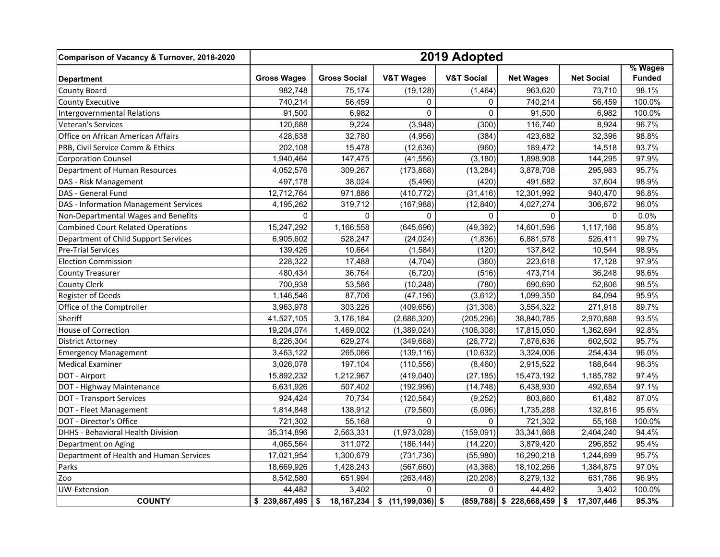| Comparison of Vacancy & Turnover, 2018-2020 | 2019 Adopted           |                     |                      |                       |                             |                   |                          |
|---------------------------------------------|------------------------|---------------------|----------------------|-----------------------|-----------------------------|-------------------|--------------------------|
| <b>Department</b>                           | <b>Gross Wages</b>     | <b>Gross Social</b> | <b>V&amp;T Wages</b> | <b>V&amp;T Social</b> | <b>Net Wages</b>            | <b>Net Social</b> | % Wages<br><b>Funded</b> |
| County Board                                | 982,748                | 75,174              | (19, 128)            | (1, 464)              | 963,620                     | 73,710            | 98.1%                    |
| <b>County Executive</b>                     | 740.214                | 56,459              | $\Omega$             | $\mathbf 0$           | 740,214                     | 56,459            | 100.0%                   |
| <b>Intergovernmental Relations</b>          | 91,500                 | 6,982               | $\pmb{0}$            | $\Omega$              | 91,500                      | 6,982             | 100.0%                   |
| Veteran's Services                          | 120,688                | 9,224               | (3,948)              | (300)                 | 116,740                     | 8,924             | 96.7%                    |
| Office on African American Affairs          | 428,638                | 32,780              | (4,956)              | (384)                 | 423,682                     | 32,396            | 98.8%                    |
| PRB, Civil Service Comm & Ethics            | 202,108                | 15,478              | (12, 636)            | (960)                 | 189,472                     | 14,518            | 93.7%                    |
| <b>Corporation Counsel</b>                  | 1,940,464              | 147,475             | (41, 556)            | (3, 180)              | 1,898,908                   | 144,295           | 97.9%                    |
| Department of Human Resources               | 4,052,576              | 309,267             | (173, 868)           | (13, 284)             | 3,878,708                   | 295,983           | 95.7%                    |
| DAS - Risk Management                       | 497,178                | 38,024              | (5, 496)             | (420)                 | 491,682                     | 37,604            | 98.9%                    |
| DAS - General Fund                          | 12,712,764             | 971,886             | (410, 772)           | (31, 416)             | 12,301,992                  | 940,470           | 96.8%                    |
| DAS - Information Management Services       | 4,195,262              | 319,712             | (167, 988)           | (12, 840)             | 4,027,274                   | 306,872           | 96.0%                    |
| Non-Departmental Wages and Benefits         | $\mathbf 0$            | $\mathbf{0}$        | $\Omega$             | $\Omega$              | $\Omega$                    | $\Omega$          | 0.0%                     |
| <b>Combined Court Related Operations</b>    | 15,247,292             | 1,166,558           | (645, 696)           | (49, 392)             | 14,601,596                  | 1,117,166         | 95.8%                    |
| Department of Child Support Services        | 6,905,602              | 528,247             | (24, 024)            | (1,836)               | 6,881,578                   | 526,411           | 99.7%                    |
| <b>Pre-Trial Services</b>                   | 139,426                | 10,664              | (1, 584)             | (120)                 | 137,842                     | 10,544            | 98.9%                    |
| <b>Election Commission</b>                  | 228,322                | 17,488              | (4,704)              | (360)                 | 223,618                     | 17,128            | 97.9%                    |
| <b>County Treasurer</b>                     | 480,434                | 36,764              | (6, 720)             | (516)                 | 473,714                     | 36,248            | 98.6%                    |
| <b>County Clerk</b>                         | 700,938                | 53,586              | (10, 248)            | (780)                 | 690,690                     | 52,806            | 98.5%                    |
| Register of Deeds                           | 1,146,546              | 87,706              | (47, 196)            | (3,612)               | 1,099,350                   | 84,094            | 95.9%                    |
| Office of the Comptroller                   | 3,963,978              | 303,226             | (409, 656)           | (31, 308)             | 3,554,322                   | 271,918           | 89.7%                    |
| Sheriff                                     | 41,527,105             | 3,176,184           | (2,686,320)          | (205, 296)            | 38,840,785                  | 2,970,888         | 93.5%                    |
| <b>House of Correction</b>                  | 19,204,074             | 1,469,002           | (1,389,024)          | (106, 308)            | 17,815,050                  | 1,362,694         | 92.8%                    |
| <b>District Attorney</b>                    | $\overline{8,226,304}$ | 629,274             | (349, 668)           | (26, 772)             | 7,876,636                   | 602,502           | 95.7%                    |
| <b>Emergency Management</b>                 | 3,463,122              | 265,066             | (139, 116)           | (10, 632)             | 3,324,006                   | 254,434           | 96.0%                    |
| <b>Medical Examiner</b>                     | 3,026,078              | 197,104             | (110, 556)           | (8,460)               | 2,915,522                   | 188,644           | 96.3%                    |
| DOT - Airport                               | 15,892,232             | 1,212,967           | (419, 040)           | (27, 185)             | 15,473,192                  | 1,185,782         | 97.4%                    |
| DOT - Highway Maintenance                   | 6,631,926              | 507,402             | (192, 996)           | (14, 748)             | 6,438,930                   | 492,654           | 97.1%                    |
| <b>DOT - Transport Services</b>             | 924,424                | 70,734              | (120, 564)           | (9, 252)              | 803,860                     | 61,482            | 87.0%                    |
| DOT - Fleet Management                      | 1,814,848              | 138,912             | (79, 560)            | (6,096)               | 1,735,288                   | 132,816           | 95.6%                    |
| <b>DOT - Director's Office</b>              | 721,302                | 55,168              | $\Omega$             | $\Omega$              | 721,302                     | 55,168            | 100.0%                   |
| <b>DHHS - Behavioral Health Division</b>    | 35,314,896             | 2,563,331           | (1,973,028)          | (159, 091)            | 33,341,868                  | 2,404,240         | 94.4%                    |
| Department on Aging                         | 4,065,564              | 311,072             | (186, 144)           | (14.220)              | 3,879,420                   | 296,852           | 95.4%                    |
| Department of Health and Human Services     | 17,021,954             | 1,300,679           | (731, 736)           | (55,980)              | 16,290,218                  | 1,244,699         | 95.7%                    |
| Parks                                       | 18,669,926             | 1,428,243           | (567, 660)           | (43, 368)             | 18,102,266                  | 1,384,875         | 97.0%                    |
| Zoo                                         | 8,542,580              | 651,994             | (263, 448)           | (20, 208)             | 8,279,132                   | 631,786           | 96.9%                    |
| UW-Extension                                | 44,482                 | 3,402               | $\Omega$             | $\mathbf 0$           | 44,482                      | 3,402             | 100.0%                   |
| <b>COUNTY</b>                               | \$239,867,495          | \$<br>18, 167, 234  | $$$ (11,199,036) \$  |                       | $(859, 788)$ \$ 228,668,459 | \$<br>17,307,446  | 95.3%                    |